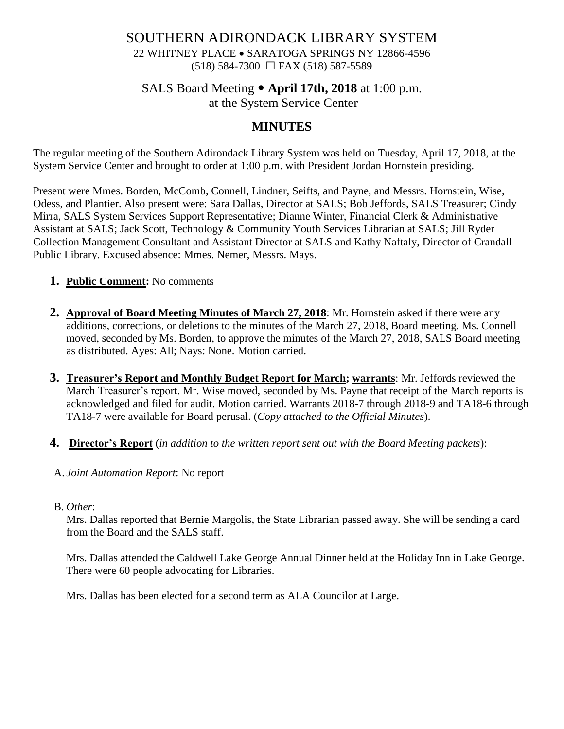## SOUTHERN ADIRONDACK LIBRARY SYSTEM 22 WHITNEY PLACE • SARATOGA SPRINGS NY 12866-4596 (518) 584-7300 FAX (518) 587-5589

## SALS Board Meeting **April 17th, 2018** at 1:00 p.m. at the System Service Center

# **MINUTES**

The regular meeting of the Southern Adirondack Library System was held on Tuesday, April 17, 2018, at the System Service Center and brought to order at 1:00 p.m. with President Jordan Hornstein presiding.

Present were Mmes. Borden, McComb, Connell, Lindner, Seifts, and Payne, and Messrs. Hornstein, Wise, Odess, and Plantier. Also present were: Sara Dallas, Director at SALS; Bob Jeffords, SALS Treasurer; Cindy Mirra, SALS System Services Support Representative; Dianne Winter, Financial Clerk & Administrative Assistant at SALS; Jack Scott, Technology & Community Youth Services Librarian at SALS; Jill Ryder Collection Management Consultant and Assistant Director at SALS and Kathy Naftaly, Director of Crandall Public Library. Excused absence: Mmes. Nemer, Messrs. Mays.

- **1. Public Comment:** No comments
- **2. Approval of Board Meeting Minutes of March 27, 2018**: Mr. Hornstein asked if there were any additions, corrections, or deletions to the minutes of the March 27, 2018, Board meeting. Ms. Connell moved, seconded by Ms. Borden, to approve the minutes of the March 27, 2018, SALS Board meeting as distributed. Ayes: All; Nays: None. Motion carried.
- **3. Treasurer's Report and Monthly Budget Report for March; warrants**: Mr. Jeffords reviewed the March Treasurer's report. Mr. Wise moved, seconded by Ms. Payne that receipt of the March reports is acknowledged and filed for audit. Motion carried. Warrants 2018-7 through 2018-9 and TA18-6 through TA18-7 were available for Board perusal. (*Copy attached to the Official Minutes*).
- **4. Director's Report** (*in addition to the written report sent out with the Board Meeting packets*):
- A. *Joint Automation Report*: No report
- B. *Other*:

Mrs. Dallas reported that Bernie Margolis, the State Librarian passed away. She will be sending a card from the Board and the SALS staff.

 Mrs. Dallas attended the Caldwell Lake George Annual Dinner held at the Holiday Inn in Lake George. There were 60 people advocating for Libraries.

Mrs. Dallas has been elected for a second term as ALA Councilor at Large.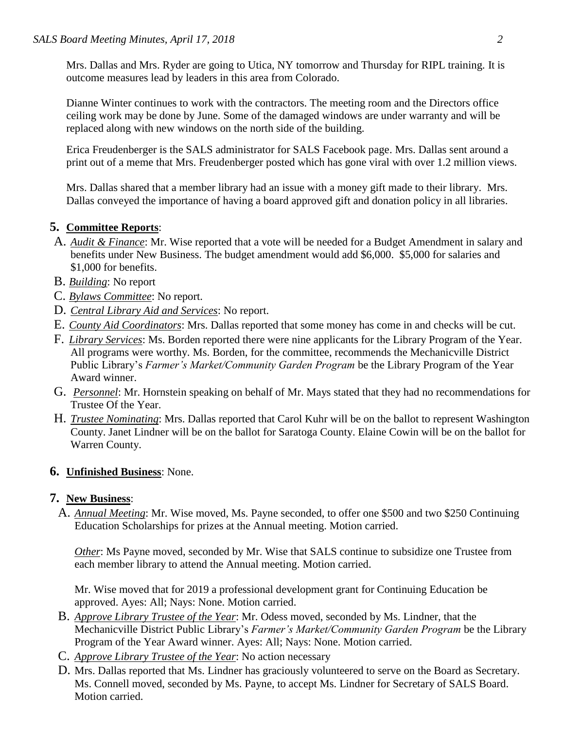Mrs. Dallas and Mrs. Ryder are going to Utica, NY tomorrow and Thursday for RIPL training. It is outcome measures lead by leaders in this area from Colorado.

Dianne Winter continues to work with the contractors. The meeting room and the Directors office ceiling work may be done by June. Some of the damaged windows are under warranty and will be replaced along with new windows on the north side of the building.

Erica Freudenberger is the SALS administrator for SALS Facebook page. Mrs. Dallas sent around a print out of a meme that Mrs. Freudenberger posted which has gone viral with over 1.2 million views.

Mrs. Dallas shared that a member library had an issue with a money gift made to their library. Mrs. Dallas conveyed the importance of having a board approved gift and donation policy in all libraries.

### **5. Committee Reports**:

- A. *Audit & Finance*: Mr. Wise reported that a vote will be needed for a Budget Amendment in salary and benefits under New Business. The budget amendment would add \$6,000. \$5,000 for salaries and \$1,000 for benefits.
- B. *Building*: No report
- C. *Bylaws Committee*: No report.
- D. *Central Library Aid and Services*: No report.
- E. *County Aid Coordinators*: Mrs. Dallas reported that some money has come in and checks will be cut.
- F. *Library Services*: Ms. Borden reported there were nine applicants for the Library Program of the Year. All programs were worthy. Ms. Borden, for the committee, recommends the Mechanicville District Public Library's *Farmer's Market/Community Garden Program* be the Library Program of the Year Award winner.
- G. *Personnel*: Mr. Hornstein speaking on behalf of Mr. Mays stated that they had no recommendations for Trustee Of the Year.
- H. *Trustee Nominating*: Mrs. Dallas reported that Carol Kuhr will be on the ballot to represent Washington County. Janet Lindner will be on the ballot for Saratoga County. Elaine Cowin will be on the ballot for Warren County.

#### **6. Unfinished Business**: None.

#### **7. New Business**:

A. *Annual Meeting*: Mr. Wise moved, Ms. Payne seconded, to offer one \$500 and two \$250 Continuing Education Scholarships for prizes at the Annual meeting. Motion carried.

*Other*: Ms Payne moved, seconded by Mr. Wise that SALS continue to subsidize one Trustee from each member library to attend the Annual meeting. Motion carried.

Mr. Wise moved that for 2019 a professional development grant for Continuing Education be approved. Ayes: All; Nays: None. Motion carried.

- B. *Approve Library Trustee of the Year*: Mr. Odess moved, seconded by Ms. Lindner, that the Mechanicville District Public Library's *Farmer's Market/Community Garden Program* be the Library Program of the Year Award winner. Ayes: All; Nays: None. Motion carried.
- C. *Approve Library Trustee of the Year*: No action necessary
- D. Mrs. Dallas reported that Ms. Lindner has graciously volunteered to serve on the Board as Secretary. Ms. Connell moved, seconded by Ms. Payne, to accept Ms. Lindner for Secretary of SALS Board. Motion carried.